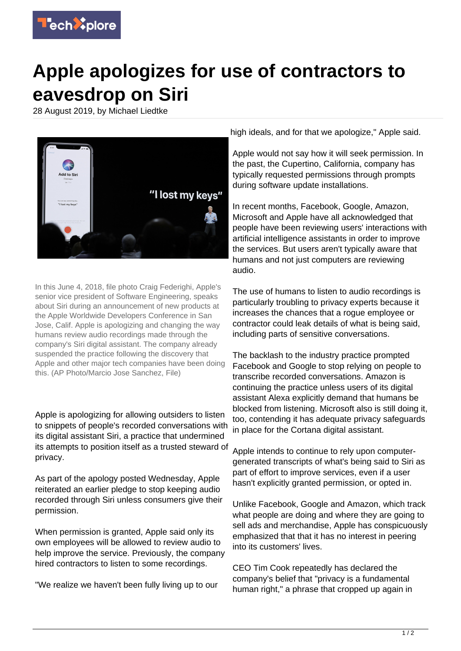

## **Apple apologizes for use of contractors to eavesdrop on Siri**

28 August 2019, by Michael Liedtke



In this June 4, 2018, file photo Craig Federighi, Apple's senior vice president of Software Engineering, speaks about Siri during an announcement of new products at the Apple Worldwide Developers Conference in San Jose, Calif. Apple is apologizing and changing the way humans review audio recordings made through the company's Siri digital assistant. The company already suspended the practice following the discovery that Apple and other major tech companies have been doing this. (AP Photo/Marcio Jose Sanchez, File)

Apple is apologizing for allowing outsiders to listen to snippets of people's recorded conversations with its digital assistant Siri, a practice that undermined its attempts to position itself as a trusted steward of privacy.

As part of the apology posted Wednesday, Apple reiterated an earlier pledge to stop keeping audio recorded through Siri unless consumers give their permission.

When permission is granted, Apple said only its own employees will be allowed to review audio to help improve the service. Previously, the company hired contractors to listen to some recordings.

"We realize we haven't been fully living up to our

high ideals, and for that we apologize," Apple said.

Apple would not say how it will seek permission. In the past, the Cupertino, California, company has typically requested permissions through prompts during software update installations.

In recent months, Facebook, Google, Amazon, Microsoft and Apple have all acknowledged that people have been reviewing users' interactions with artificial intelligence assistants in order to improve the services. But users aren't typically aware that humans and not just computers are reviewing audio.

The use of humans to listen to audio recordings is particularly troubling to privacy experts because it increases the chances that a rogue employee or contractor could leak details of what is being said, including parts of sensitive conversations.

The backlash to the industry practice prompted Facebook and Google to stop relying on people to transcribe recorded conversations. Amazon is continuing the practice unless users of its digital assistant Alexa explicitly demand that humans be blocked from listening. Microsoft also is still doing it, too, contending it has adequate privacy safeguards in place for the Cortana digital assistant.

Apple intends to continue to rely upon computergenerated transcripts of what's being said to Siri as part of effort to improve services, even if a user hasn't explicitly granted permission, or opted in.

Unlike Facebook, Google and Amazon, which track what people are doing and where they are going to sell ads and merchandise, Apple has conspicuously emphasized that that it has no interest in peering into its customers' lives.

CEO Tim Cook repeatedly has declared the company's belief that "privacy is a fundamental human right," a phrase that cropped up again in